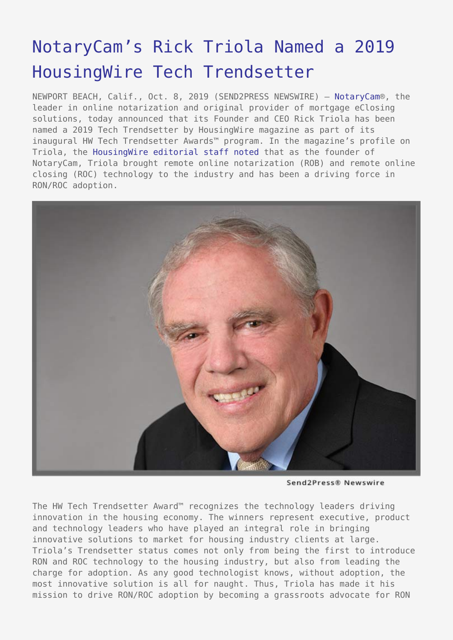## [NotaryCam's Rick Triola Named a 2019](https://www.send2press.com/wire/notarycams-rick-triola-named-a-2019-housingwire-tech-trendsetter/) [HousingWire Tech Trendsetter](https://www.send2press.com/wire/notarycams-rick-triola-named-a-2019-housingwire-tech-trendsetter/)

NEWPORT BEACH, Calif., Oct. 8, 2019 (SEND2PRESS NEWSWIRE) — [NotaryCam](https://www.notarycam.com/)®, the leader in online notarization and original provider of mortgage eClosing solutions, today announced that its Founder and CEO Rick Triola has been named a 2019 Tech Trendsetter by HousingWire magazine as part of its inaugural HW Tech Trendsetter Awards™ program. In the magazine's profile on Triola, the [HousingWire editorial staff noted](https://www.housingwire.com/articles/2019-hw-tech-trendsetter-rick-triola/) that as the founder of NotaryCam, Triola brought remote online notarization (ROB) and remote online closing (ROC) technology to the industry and has been a driving force in RON/ROC adoption.



Send2Press® Newswire

The HW Tech Trendsetter Award™ recognizes the technology leaders driving innovation in the housing economy. The winners represent executive, product and technology leaders who have played an integral role in bringing innovative solutions to market for housing industry clients at large. Triola's Trendsetter status comes not only from being the first to introduce RON and ROC technology to the housing industry, but also from leading the charge for adoption. As any good technologist knows, without adoption, the most innovative solution is all for naught. Thus, Triola has made it his mission to drive RON/ROC adoption by becoming a grassroots advocate for RON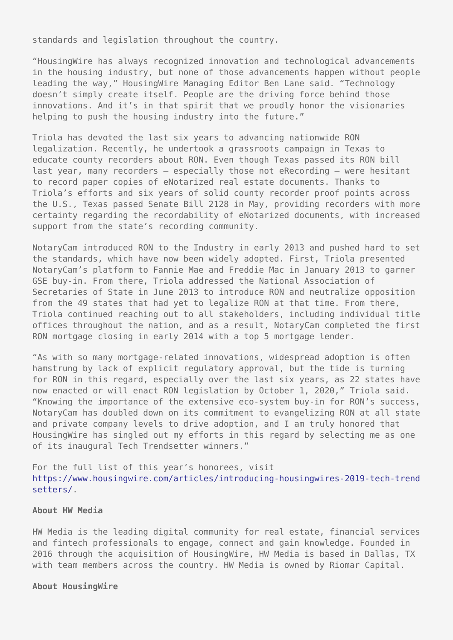standards and legislation throughout the country.

"HousingWire has always recognized innovation and technological advancements in the housing industry, but none of those advancements happen without people leading the way," HousingWire Managing Editor Ben Lane said. "Technology doesn't simply create itself. People are the driving force behind those innovations. And it's in that spirit that we proudly honor the visionaries helping to push the housing industry into the future."

Triola has devoted the last six years to advancing nationwide RON legalization. Recently, he undertook a grassroots campaign in Texas to educate county recorders about RON. Even though Texas passed its RON bill last year, many recorders – especially those not eRecording – were hesitant to record paper copies of eNotarized real estate documents. Thanks to Triola's efforts and six years of solid county recorder proof points across the U.S., Texas passed Senate Bill 2128 in May, providing recorders with more certainty regarding the recordability of eNotarized documents, with increased support from the state's recording community.

NotaryCam introduced RON to the Industry in early 2013 and pushed hard to set the standards, which have now been widely adopted. First, Triola presented NotaryCam's platform to Fannie Mae and Freddie Mac in January 2013 to garner GSE buy-in. From there, Triola addressed the National Association of Secretaries of State in June 2013 to introduce RON and neutralize opposition from the 49 states that had yet to legalize RON at that time. From there, Triola continued reaching out to all stakeholders, including individual title offices throughout the nation, and as a result, NotaryCam completed the first RON mortgage closing in early 2014 with a top 5 mortgage lender.

"As with so many mortgage-related innovations, widespread adoption is often hamstrung by lack of explicit regulatory approval, but the tide is turning for RON in this regard, especially over the last six years, as 22 states have now enacted or will enact RON legislation by October 1, 2020," Triola said. "Knowing the importance of the extensive eco-system buy-in for RON's success, NotaryCam has doubled down on its commitment to evangelizing RON at all state and private company levels to drive adoption, and I am truly honored that HousingWire has singled out my efforts in this regard by selecting me as one of its inaugural Tech Trendsetter winners."

For the full list of this year's honorees, visit [https://www.housingwire.com/articles/introducing-housingwires-2019-tech-trend](https://www.housingwire.com/articles/introducing-housingwires-2019-tech-trendsetters/) [setters/](https://www.housingwire.com/articles/introducing-housingwires-2019-tech-trendsetters/).

## **About HW Media**

HW Media is the leading digital community for real estate, financial services and fintech professionals to engage, connect and gain knowledge. Founded in 2016 through the acquisition of HousingWire, HW Media is based in Dallas, TX with team members across the country. HW Media is owned by Riomar Capital.

## **About HousingWire**